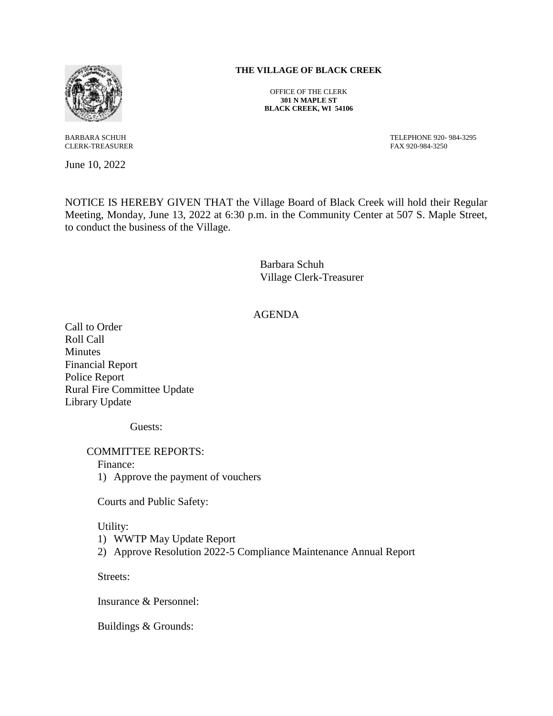

CLERK-TREASURER

June 10, 2022

## **THE VILLAGE OF BLACK CREEK**

OFFICE OF THE CLERK **301 N MAPLE ST BLACK CREEK, WI 54106**

BARBARA SCHUHTELEPHONE 920- 984-3295

NOTICE IS HEREBY GIVEN THAT the Village Board of Black Creek will hold their Regular Meeting, Monday, June 13, 2022 at 6:30 p.m. in the Community Center at 507 S. Maple Street, to conduct the business of the Village.

> Barbara Schuh Village Clerk-Treasurer

## AGENDA

Call to Order Roll Call Minutes Financial Report Police Report Rural Fire Committee Update Library Update

Guests:

 COMMITTEE REPORTS: Finance: 1) Approve the payment of vouchers

Courts and Public Safety:

Utility:

- 1) WWTP May Update Report
- 2) Approve Resolution 2022-5 Compliance Maintenance Annual Report

Streets:

Insurance & Personnel:

Buildings & Grounds: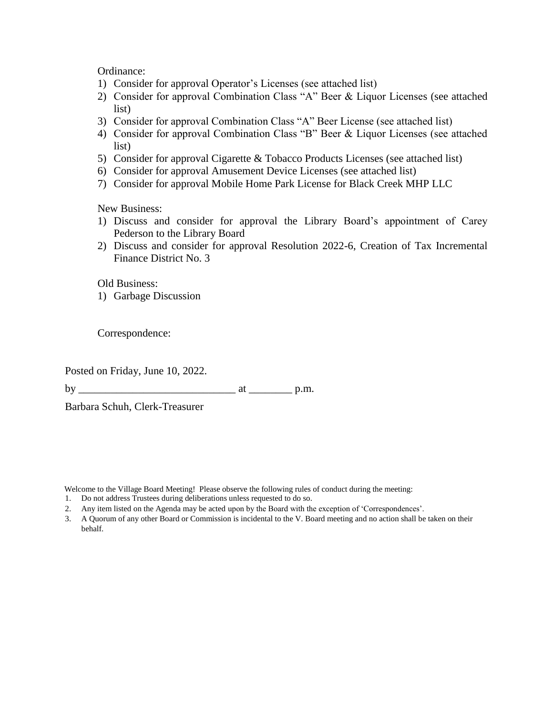Ordinance:

- 1) Consider for approval Operator's Licenses (see attached list)
- 2) Consider for approval Combination Class "A" Beer & Liquor Licenses (see attached list)
- 3) Consider for approval Combination Class "A" Beer License (see attached list)
- 4) Consider for approval Combination Class "B" Beer & Liquor Licenses (see attached list)
- 5) Consider for approval Cigarette & Tobacco Products Licenses (see attached list)
- 6) Consider for approval Amusement Device Licenses (see attached list)
- 7) Consider for approval Mobile Home Park License for Black Creek MHP LLC

New Business:

- 1) Discuss and consider for approval the Library Board's appointment of Carey Pederson to the Library Board
- 2) Discuss and consider for approval Resolution 2022-6, Creation of Tax Incremental Finance District No. 3

Old Business:

1) Garbage Discussion

Correspondence:

Posted on Friday, June 10, 2022.

by \_\_\_\_\_\_\_\_\_\_\_\_\_\_\_\_\_\_\_\_\_\_\_\_\_\_\_\_\_ at \_\_\_\_\_\_\_\_ p.m.

Barbara Schuh, Clerk-Treasurer

Welcome to the Village Board Meeting! Please observe the following rules of conduct during the meeting:

- 1. Do not address Trustees during deliberations unless requested to do so.
- 2. Any item listed on the Agenda may be acted upon by the Board with the exception of 'Correspondences'.

<sup>3.</sup> A Quorum of any other Board or Commission is incidental to the V. Board meeting and no action shall be taken on their behalf.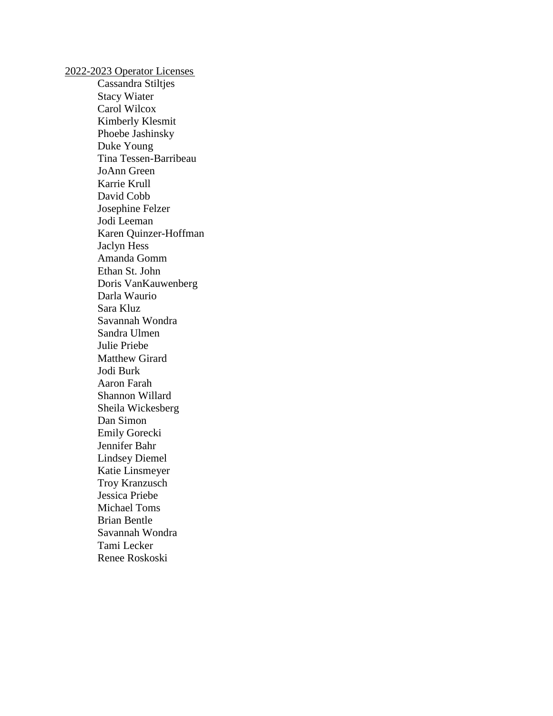2022-2023 Operator Licenses Cassandra Stiltjes Stacy Wiater Carol Wilcox Kimberly Klesmit Phoebe Jashinsky Duke Young Tina Tessen-Barribeau JoAnn Green Karrie Krull David Cobb Josephine Felzer Jodi Leeman Karen Quinzer-Hoffman Jaclyn Hess Amanda Gomm Ethan St. John Doris VanKauwenberg Darla Waurio Sara Kluz Savannah Wondra Sandra Ulmen Julie Priebe Matthew Girard Jodi Burk Aaron Farah Shannon Willard Sheila Wickesberg Dan Simon Emily Gorecki Jennifer Bahr Lindsey Diemel Katie Linsmeyer Troy Kranzusch Jessica Priebe Michael Toms Brian Bentle Savannah Wondra Tami Lecker Renee Roskoski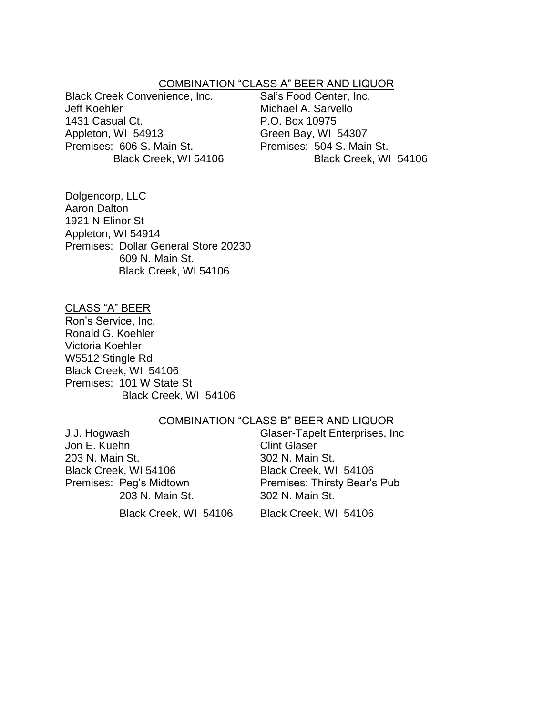## COMBINATION "CLASS A" BEER AND LIQUOR

Black Creek Convenience, Inc. Sal's Food Center, Inc. Jeff Koehler **Michael A. Sarvello** 1431 Casual Ct. P.O. Box 10975 Appleton, WI 54913 Green Bay, WI 54307 Premises: 606 S. Main St. Premises: 504 S. Main St.

Black Creek, WI 54106 Black Creek, WI 54106

Dolgencorp, LLC Aaron Dalton 1921 N Elinor St Appleton, WI 54914 Premises: Dollar General Store 20230 609 N. Main St. Black Creek, WI 54106

CLASS "A" BEER

Ron's Service, Inc. Ronald G. Koehler Victoria Koehler W5512 Stingle Rd Black Creek, WI 54106 Premises: 101 W State St Black Creek, WI 54106

## COMBINATION "CLASS B" BEER AND LIQUOR

| J.J. Hogwash            | <b>Glaser-Tapelt Enterprises, Inc.</b> |
|-------------------------|----------------------------------------|
| Jon E. Kuehn            | <b>Clint Glaser</b>                    |
| 203 N. Main St.         | 302 N. Main St.                        |
| Black Creek, WI 54106   | Black Creek, WI 54106                  |
| Premises: Peg's Midtown | <b>Premises: Thirsty Bear's Pub</b>    |
| 203 N. Main St.         | 302 N. Main St.                        |
| Black Creek, WI 54106   | Black Creek, WI 54106                  |